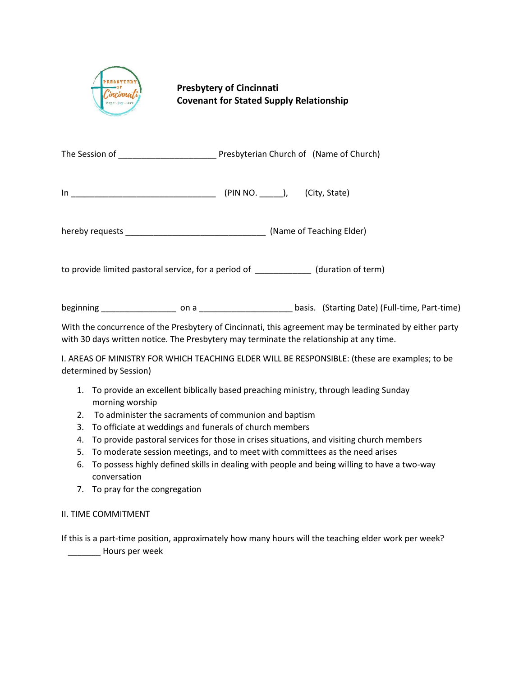

## **Presbytery of Cincinnati Covenant for Stated Supply Relationship**

| The Session of |  | Presbyterian Church of (Name of Church) |  |
|----------------|--|-----------------------------------------|--|
|                |  |                                         |  |

| In | <b>(PIN NO</b> | (City, State) |
|----|----------------|---------------|
|----|----------------|---------------|

hereby requests \_\_\_\_\_\_\_\_\_\_\_\_\_\_\_\_\_\_\_\_\_\_\_\_\_\_\_\_\_\_ (Name of Teaching Elder)

to provide limited pastoral service, for a period of \_\_\_\_\_\_\_\_\_\_\_\_ (duration of term)

beginning \_\_\_\_\_\_\_\_\_\_\_\_\_\_\_\_ on a \_\_\_\_\_\_\_\_\_\_\_\_\_\_\_\_\_\_\_\_ basis. (Starting Date) (Full-time, Part-time)

With the concurrence of the Presbytery of Cincinnati, this agreement may be terminated by either party with 30 days written notice. The Presbytery may terminate the relationship at any time.

I. AREAS OF MINISTRY FOR WHICH TEACHING ELDER WILL BE RESPONSIBLE: (these are examples; to be determined by Session)

- 1. To provide an excellent biblically based preaching ministry, through leading Sunday morning worship
- 2. To administer the sacraments of communion and baptism
- 3. To officiate at weddings and funerals of church members
- 4. To provide pastoral services for those in crises situations, and visiting church members
- 5. To moderate session meetings, and to meet with committees as the need arises
- 6. To possess highly defined skills in dealing with people and being willing to have a two-way conversation
- 7. To pray for the congregation

## II. TIME COMMITMENT

If this is a part-time position, approximately how many hours will the teaching elder work per week? \_\_\_\_\_\_\_ Hours per week